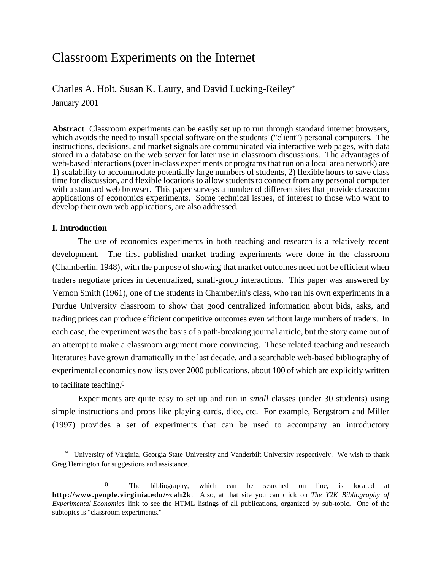# Classroom Experiments on the Internet

Charles A. Holt, Susan K. Laury, and David Lucking-Reiley\*

January 2001

**Abstract** Classroom experiments can be easily set up to run through standard internet browsers, which avoids the need to install special software on the students' ("client") personal computers. The instructions, decisions, and market signals are communicated via interactive web pages, with data stored in a database on the web server for later use in classroom discussions. The advantages of web-based interactions (over in-class experiments or programs that run on a local area network) are 1) scalability to accommodate potentially large numbers of students, 2) flexible hours to save class time for discussion, and flexible locations to allow students to connect from any personal computer with a standard web browser. This paper surveys a number of different sites that provide classroom applications of economics experiments. Some technical issues, of interest to those who want to develop their own web applications, are also addressed.

# **I. Introduction**

The use of economics experiments in both teaching and research is a relatively recent development. The first published market trading experiments were done in the classroom (Chamberlin, 1948), with the purpose of showing that market outcomes need not be efficient when traders negotiate prices in decentralized, small-group interactions. This paper was answered by Vernon Smith (1961), one of the students in Chamberlin's class, who ran his own experiments in a Purdue University classroom to show that good centralized information about bids, asks, and trading prices can produce efficient competitive outcomes even without large numbers of traders. In each case, the experiment was the basis of a path-breaking journal article, but the story came out of an attempt to make a classroom argument more convincing. These related teaching and research literatures have grown dramatically in the last decade, and a searchable web-based bibliography of experimental economics now lists over 2000 publications, about 100 of which are explicitly written to facilitate teaching.0

Experiments are quite easy to set up and run in *small* classes (under 30 students) using simple instructions and props like playing cards, dice, etc. For example, Bergstrom and Miller (1997) provides a set of experiments that can be used to accompany an introductory

\* University of Virginia, Georgia State University and Vanderbilt University respectively. We wish to thank Greg Herrington for suggestions and assistance.

0 The bibliography, which can be searched on line, is located at **http://www.people.virginia.edu/~cah2k**. Also, at that site you can click on *The Y2K Bibliography of Experimental Economics* link to see the HTML listings of all publications, organized by sub-topic. One of the subtopics is "classroom experiments."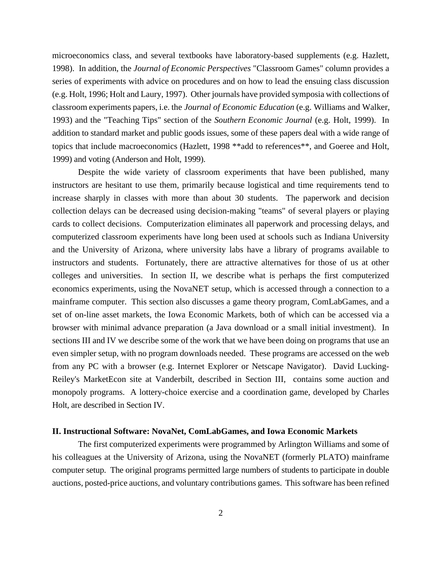microeconomics class, and several textbooks have laboratory-based supplements (e.g. Hazlett, 1998). In addition, the *Journal of Economic Perspectives* "Classroom Games" column provides a series of experiments with advice on procedures and on how to lead the ensuing class discussion (e.g. Holt, 1996; Holt and Laury, 1997). Other journals have provided symposia with collections of classroom experiments papers, i.e. the *Journal of Economic Education* (e.g. Williams and Walker, 1993) and the "Teaching Tips" section of the *Southern Economic Journal* (e.g. Holt, 1999). In addition to standard market and public goods issues, some of these papers deal with a wide range of topics that include macroeconomics (Hazlett, 1998 \*\*add to references\*\*, and Goeree and Holt, 1999) and voting (Anderson and Holt, 1999).

Despite the wide variety of classroom experiments that have been published, many instructors are hesitant to use them, primarily because logistical and time requirements tend to increase sharply in classes with more than about 30 students. The paperwork and decision collection delays can be decreased using decision-making "teams" of several players or playing cards to collect decisions. Computerization eliminates all paperwork and processing delays, and computerized classroom experiments have long been used at schools such as Indiana University and the University of Arizona, where university labs have a library of programs available to instructors and students. Fortunately, there are attractive alternatives for those of us at other colleges and universities. In section II, we describe what is perhaps the first computerized economics experiments, using the NovaNET setup, which is accessed through a connection to a mainframe computer. This section also discusses a game theory program, ComLabGames, and a set of on-line asset markets, the Iowa Economic Markets, both of which can be accessed via a browser with minimal advance preparation (a Java download or a small initial investment). In sections III and IV we describe some of the work that we have been doing on programs that use an even simpler setup, with no program downloads needed. These programs are accessed on the web from any PC with a browser (e.g. Internet Explorer or Netscape Navigator). David Lucking-Reiley's MarketEcon site at Vanderbilt, described in Section III, contains some auction and monopoly programs. A lottery-choice exercise and a coordination game, developed by Charles Holt, are described in Section IV.

## **II. Instructional Software: NovaNet, ComLabGames, and Iowa Economic Markets**

The first computerized experiments were programmed by Arlington Williams and some of his colleagues at the University of Arizona, using the NovaNET (formerly PLATO) mainframe computer setup. The original programs permitted large numbers of students to participate in double auctions, posted-price auctions, and voluntary contributions games. This software has been refined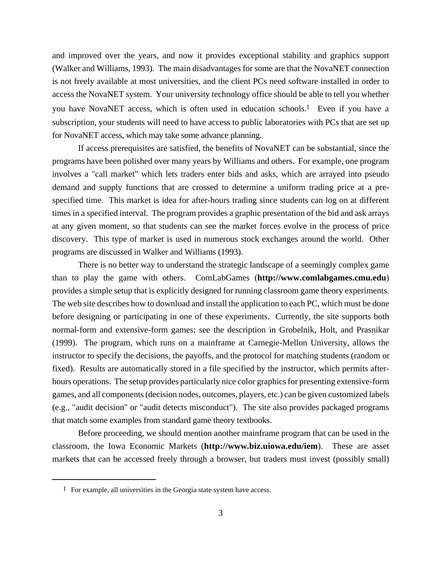and improved over the years, and now it provides exceptional stability and graphics support (Walker and Williams, 1993). The main disadvantages for some are that the NovaNET connection is not freely available at most universities, and the client PCs need software installed in order to access the NovaNET system. Your university technology office should be able to tell you whether you have NovaNET access, which is often used in education schools.1 Even if you have a subscription, your students will need to have access to public laboratories with PCs that are set up for NovaNET access, which may take some advance planning.

If access prerequisites are satisfied, the benefits of NovaNET can be substantial, since the programs have been polished over many years by Williams and others. For example, one program involves a "call market" which lets traders enter bids and asks, which are arrayed into pseudo demand and supply functions that are crossed to determine a uniform trading price at a prespecified time. This market is idea for after-hours trading since students can log on at different times in a specified interval. The program provides a graphic presentation of the bid and ask arrays at any given moment, so that students can see the market forces evolve in the process of price discovery. This type of market is used in numerous stock exchanges around the world. Other programs are discussed in Walker and Williams (1993).

There is no better way to understand the strategic landscape of a seemingly complex game than to play the game with others. ComLabGames (**http://www.comlabgames.cmu.edu**) provides a simple setup that is explicitly designed for running classroom game theory experiments. The web site describes how to download and install the application to each PC, which must be done before designing or participating in one of these experiments. Currently, the site supports both normal-form and extensive-form games; see the description in Grobelnik, Holt, and Prasnikar (1999). The program, which runs on a mainframe at Carnegie-Mellon University, allows the instructor to specify the decisions, the payoffs, and the protocol for matching students (random or fixed). Results are automatically stored in a file specified by the instructor, which permits afterhours operations. The setup provides particularly nice color graphics for presenting extensive-form games, and all components (decision nodes, outcomes, players, etc.) can be given customized labels (e.g., "audit decision" or "audit detects misconduct"). The site also provides packaged programs that match some examples from standard game theory textbooks.

Before proceeding, we should mention another mainframe program that can be used in the classroom, the Iowa Economic Markets (**http://www.biz.uiowa.edu/iem**). These are asset markets that can be accessed freely through a browser, but traders must invest (possibly small)

1 For example, all universities in the Georgia state system have access.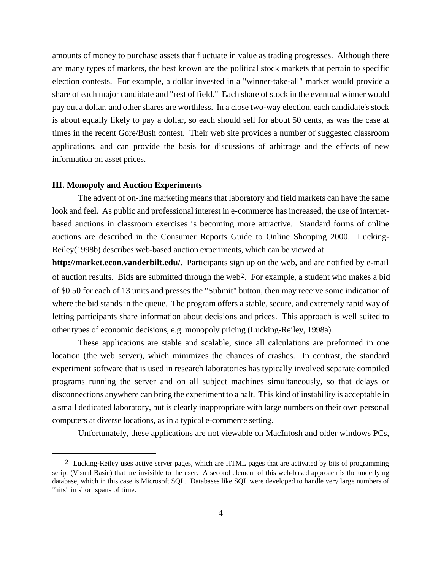amounts of money to purchase assets that fluctuate in value as trading progresses. Although there are many types of markets, the best known are the political stock markets that pertain to specific election contests. For example, a dollar invested in a "winner-take-all" market would provide a share of each major candidate and "rest of field." Each share of stock in the eventual winner would pay out a dollar, and other shares are worthless. In a close two-way election, each candidate's stock is about equally likely to pay a dollar, so each should sell for about 50 cents, as was the case at times in the recent Gore/Bush contest. Their web site provides a number of suggested classroom applications, and can provide the basis for discussions of arbitrage and the effects of new information on asset prices.

#### **III. Monopoly and Auction Experiments**

The advent of on-line marketing means that laboratory and field markets can have the same look and feel. As public and professional interest in e-commerce has increased, the use of internetbased auctions in classroom exercises is becoming more attractive. Standard forms of online auctions are described in the Consumer Reports Guide to Online Shopping 2000. Lucking-Reiley(1998b) describes web-based auction experiments, which can be viewed at

**http://market.econ.vanderbilt.edu/**. Participants sign up on the web, and are notified by e-mail of auction results. Bids are submitted through the web2. For example, a student who makes a bid of \$0.50 for each of 13 units and presses the "Submit" button, then may receive some indication of where the bid stands in the queue. The program offers a stable, secure, and extremely rapid way of letting participants share information about decisions and prices. This approach is well suited to other types of economic decisions, e.g. monopoly pricing (Lucking-Reiley, 1998a).

These applications are stable and scalable, since all calculations are preformed in one location (the web server), which minimizes the chances of crashes. In contrast, the standard experiment software that is used in research laboratories has typically involved separate compiled programs running the server and on all subject machines simultaneously, so that delays or disconnections anywhere can bring the experiment to a halt. This kind of instability is acceptable in a small dedicated laboratory, but is clearly inappropriate with large numbers on their own personal computers at diverse locations, as in a typical e-commerce setting.

Unfortunately, these applications are not viewable on MacIntosh and older windows PCs,

2 Lucking-Reiley uses active server pages, which are HTML pages that are activated by bits of programming script (Visual Basic) that are invisible to the user. A second element of this web-based approach is the underlying database, which in this case is Microsoft SQL. Databases like SQL were developed to handle very large numbers of "hits" in short spans of time.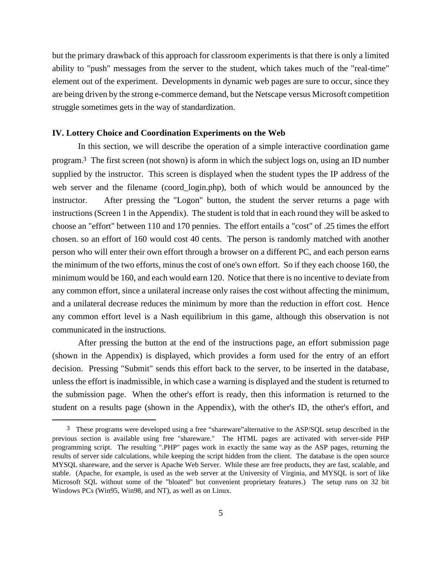but the primary drawback of this approach for classroom experiments is that there is only a limited ability to "push" messages from the server to the student, which takes much of the "real-time" element out of the experiment. Developments in dynamic web pages are sure to occur, since they are being driven by the strong e-commerce demand, but the Netscape versus Microsoft competition struggle sometimes gets in the way of standardization.

### **IV. Lottery Choice and Coordination Experiments on the Web**

In this section, we will describe the operation of a simple interactive coordination game program.3 The first screen (not shown) is aform in which the subject logs on, using an ID number supplied by the instructor. This screen is displayed when the student types the IP address of the web server and the filename (coord login.php), both of which would be announced by the instructor. After pressing the "Logon" button, the student the server returns a page with instructions (Screen 1 in the Appendix). The student is told that in each round they will be asked to choose an "effort" between 110 and 170 pennies. The effort entails a "cost" of .25 times the effort chosen. so an effort of 160 would cost 40 cents. The person is randomly matched with another person who will enter their own effort through a browser on a different PC, and each person earns the minimum of the two efforts, minus the cost of one's own effort. So if they each choose 160, the minimum would be 160, and each would earn 120. Notice that there is no incentive to deviate from any common effort, since a unilateral increase only raises the cost without affecting the minimum, and a unilateral decrease reduces the minimum by more than the reduction in effort cost. Hence any common effort level is a Nash equilibrium in this game, although this observation is not communicated in the instructions.

After pressing the button at the end of the instructions page, an effort submission page (shown in the Appendix) is displayed, which provides a form used for the entry of an effort decision. Pressing "Submit" sends this effort back to the server, to be inserted in the database, unless the effort is inadmissible, in which case a warning is displayed and the student is returned to the submission page. When the other's effort is ready, then this information is returned to the student on a results page (shown in the Appendix), with the other's ID, the other's effort, and

3 These programs were developed using a free "shareware"alternative to the ASP/SQL setup described in the previous section is available using free "shareware." The HTML pages are activated with server-side PHP programming script. The resulting ".PHP" pages work in exactly the same way as the ASP pages, returning the results of server side calculations, while keeping the script hidden from the client. The database is the open source MYSQL shareware, and the server is Apache Web Server. While these are free products, they are fast, scalable, and stable. (Apache, for example, is used as the web server at the University of Virginia, and MYSQL is sort of like Microsoft SQL without some of the "bloated" but convenient proprietary features.) The setup runs on 32 bit Windows PCs (Win95, Win98, and NT), as well as on Linux.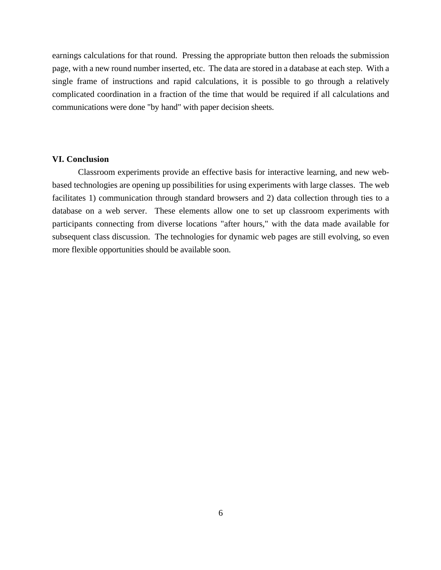earnings calculations for that round. Pressing the appropriate button then reloads the submission page, with a new round number inserted, etc. The data are stored in a database at each step. With a single frame of instructions and rapid calculations, it is possible to go through a relatively complicated coordination in a fraction of the time that would be required if all calculations and communications were done "by hand" with paper decision sheets.

## **VI. Conclusion**

Classroom experiments provide an effective basis for interactive learning, and new webbased technologies are opening up possibilities for using experiments with large classes. The web facilitates 1) communication through standard browsers and 2) data collection through ties to a database on a web server. These elements allow one to set up classroom experiments with participants connecting from diverse locations "after hours," with the data made available for subsequent class discussion. The technologies for dynamic web pages are still evolving, so even more flexible opportunities should be available soon.